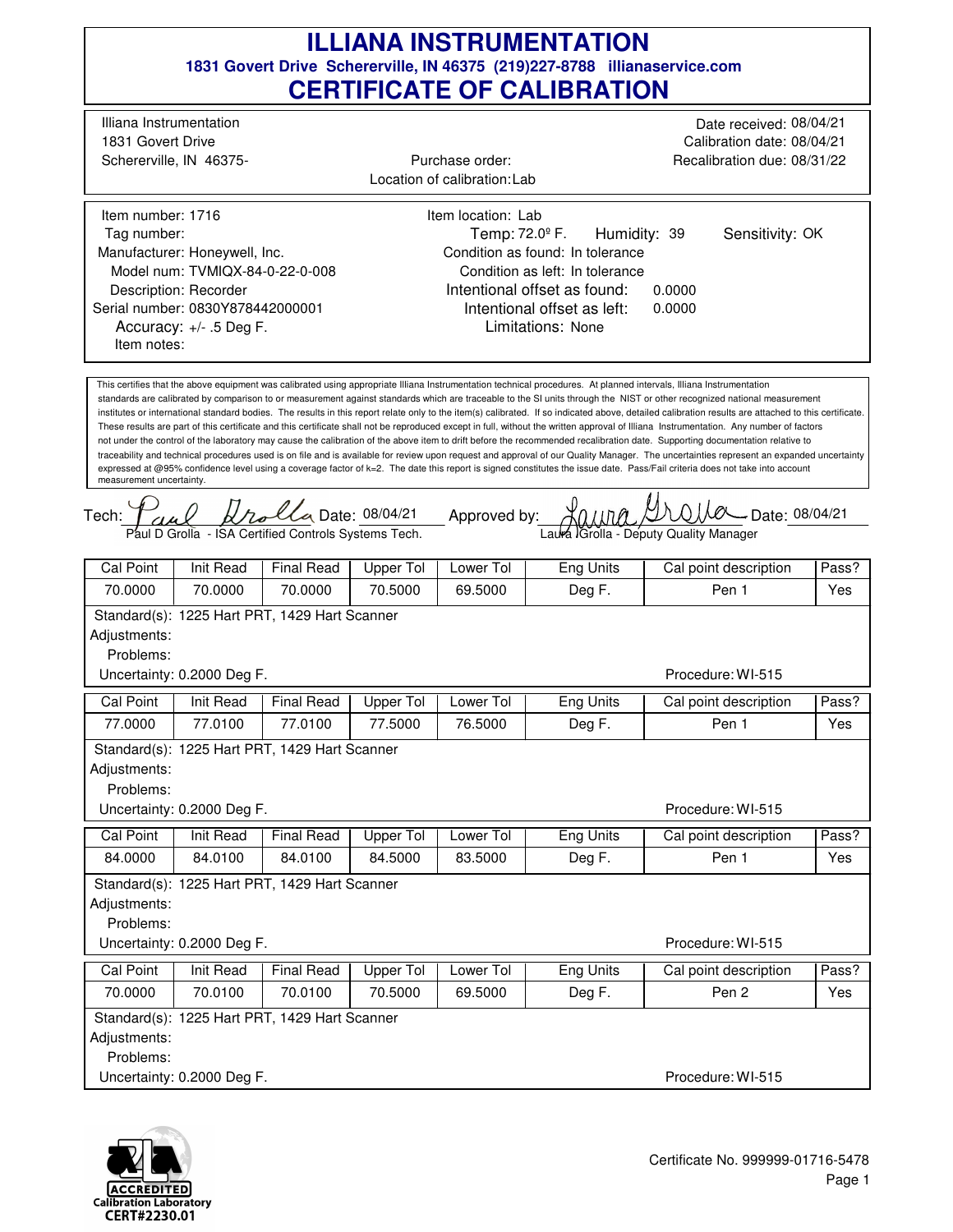## **1831 Govert Drive Schererville, IN 46375 (219)227-8788 illianaservice.com CERTIFICATE OF CALIBRATION ILLIANA INSTRUMENTATION**

| CERTIFICATE OF CALIDRATION                                                                                                                                                                                                                                                                                                                                                                                                                                                                                                                                                                                                                                                                                                                                                                                                                                                                                                                                                                                                                                                                                                                                                                                                                                                                                                               |                                                          |                   |                                                                           |                            |                                 |                                                                                      |       |  |  |  |  |  |
|------------------------------------------------------------------------------------------------------------------------------------------------------------------------------------------------------------------------------------------------------------------------------------------------------------------------------------------------------------------------------------------------------------------------------------------------------------------------------------------------------------------------------------------------------------------------------------------------------------------------------------------------------------------------------------------------------------------------------------------------------------------------------------------------------------------------------------------------------------------------------------------------------------------------------------------------------------------------------------------------------------------------------------------------------------------------------------------------------------------------------------------------------------------------------------------------------------------------------------------------------------------------------------------------------------------------------------------|----------------------------------------------------------|-------------------|---------------------------------------------------------------------------|----------------------------|---------------------------------|--------------------------------------------------------------------------------------|-------|--|--|--|--|--|
| Illiana Instrumentation<br>1831 Govert Drive                                                                                                                                                                                                                                                                                                                                                                                                                                                                                                                                                                                                                                                                                                                                                                                                                                                                                                                                                                                                                                                                                                                                                                                                                                                                                             | Schererville, IN 46375-                                  |                   | Purchase order:<br>Location of calibration: Lab                           |                            |                                 | Date received: 08/04/21<br>Calibration date: 08/04/21<br>Recalibration due: 08/31/22 |       |  |  |  |  |  |
|                                                                                                                                                                                                                                                                                                                                                                                                                                                                                                                                                                                                                                                                                                                                                                                                                                                                                                                                                                                                                                                                                                                                                                                                                                                                                                                                          |                                                          |                   |                                                                           |                            |                                 |                                                                                      |       |  |  |  |  |  |
| Item number: 1716<br>Item location: Lab                                                                                                                                                                                                                                                                                                                                                                                                                                                                                                                                                                                                                                                                                                                                                                                                                                                                                                                                                                                                                                                                                                                                                                                                                                                                                                  |                                                          |                   |                                                                           |                            |                                 |                                                                                      |       |  |  |  |  |  |
| Tag number:                                                                                                                                                                                                                                                                                                                                                                                                                                                                                                                                                                                                                                                                                                                                                                                                                                                                                                                                                                                                                                                                                                                                                                                                                                                                                                                              |                                                          |                   |                                                                           | Temp: 72.0 <sup>°</sup> F. | Humidity: 39<br>Sensitivity: OK |                                                                                      |       |  |  |  |  |  |
|                                                                                                                                                                                                                                                                                                                                                                                                                                                                                                                                                                                                                                                                                                                                                                                                                                                                                                                                                                                                                                                                                                                                                                                                                                                                                                                                          | Manufacturer: Honeywell, Inc.                            |                   | Condition as found: In tolerance                                          |                            |                                 |                                                                                      |       |  |  |  |  |  |
|                                                                                                                                                                                                                                                                                                                                                                                                                                                                                                                                                                                                                                                                                                                                                                                                                                                                                                                                                                                                                                                                                                                                                                                                                                                                                                                                          | Model num: TVMIQX-84-0-22-0-008<br>Description: Recorder |                   | Condition as left: In tolerance<br>Intentional offset as found:<br>0.0000 |                            |                                 |                                                                                      |       |  |  |  |  |  |
|                                                                                                                                                                                                                                                                                                                                                                                                                                                                                                                                                                                                                                                                                                                                                                                                                                                                                                                                                                                                                                                                                                                                                                                                                                                                                                                                          | Serial number: 0830Y878442000001                         |                   | Intentional offset as left:<br>0.0000                                     |                            |                                 |                                                                                      |       |  |  |  |  |  |
| Accuracy: +/- .5 Deg F.<br>Item notes:                                                                                                                                                                                                                                                                                                                                                                                                                                                                                                                                                                                                                                                                                                                                                                                                                                                                                                                                                                                                                                                                                                                                                                                                                                                                                                   |                                                          |                   | Limitations: None                                                         |                            |                                 |                                                                                      |       |  |  |  |  |  |
| This certifies that the above equipment was calibrated using appropriate Illiana Instrumentation technical procedures. At planned intervals, Illiana Instrumentation<br>standards are calibrated by comparison to or measurement against standards which are traceable to the SI units through the NIST or other recognized national measurement<br>institutes or international standard bodies. The results in this report relate only to the item(s) calibrated. If so indicated above, detailed calibration results are attached to this certificate.<br>These results are part of this certificate and this certificate shall not be reproduced except in full, without the written approval of Illiana Instrumentation. Any number of factors<br>not under the control of the laboratory may cause the calibration of the above item to drift before the recommended recalibration date. Supporting documentation relative to<br>traceability and technical procedures used is on file and is available for review upon request and approval of our Quality Manager. The uncertainties represent an expanded uncertainty<br>expressed at @95% confidence level using a coverage factor of k=2. The date this report is signed constitutes the issue date. Pass/Fail criteria does not take into account<br>measurement uncertainty. |                                                          |                   |                                                                           |                            |                                 |                                                                                      |       |  |  |  |  |  |
|                                                                                                                                                                                                                                                                                                                                                                                                                                                                                                                                                                                                                                                                                                                                                                                                                                                                                                                                                                                                                                                                                                                                                                                                                                                                                                                                          |                                                          |                   |                                                                           |                            |                                 |                                                                                      |       |  |  |  |  |  |
| lla Date: 08/04/21<br>__ Approved by:<br>- Date: 08/04/21<br>Tech:<br>Paul D Grolla - ISA Certified Controls Systems Tech.<br>Laura Grolla - Deputy Quality Manager                                                                                                                                                                                                                                                                                                                                                                                                                                                                                                                                                                                                                                                                                                                                                                                                                                                                                                                                                                                                                                                                                                                                                                      |                                                          |                   |                                                                           |                            |                                 |                                                                                      |       |  |  |  |  |  |
| Cal Point                                                                                                                                                                                                                                                                                                                                                                                                                                                                                                                                                                                                                                                                                                                                                                                                                                                                                                                                                                                                                                                                                                                                                                                                                                                                                                                                | Init Read                                                | <b>Final Read</b> | Upper Tol                                                                 | Lower Tol                  | Eng Units                       | Cal point description                                                                | Pass? |  |  |  |  |  |
| 70.0000                                                                                                                                                                                                                                                                                                                                                                                                                                                                                                                                                                                                                                                                                                                                                                                                                                                                                                                                                                                                                                                                                                                                                                                                                                                                                                                                  | 70.0000                                                  | 70.0000           | 70.5000                                                                   | 69.5000                    | Deg F.                          | Pen 1                                                                                | Yes   |  |  |  |  |  |
| Standard(s): 1225 Hart PRT, 1429 Hart Scanner<br>Adjustments:<br>Problems:<br>Procedure: WI-515<br>Uncertainty: 0.2000 Deg F.                                                                                                                                                                                                                                                                                                                                                                                                                                                                                                                                                                                                                                                                                                                                                                                                                                                                                                                                                                                                                                                                                                                                                                                                            |                                                          |                   |                                                                           |                            |                                 |                                                                                      |       |  |  |  |  |  |
| Cal Point                                                                                                                                                                                                                                                                                                                                                                                                                                                                                                                                                                                                                                                                                                                                                                                                                                                                                                                                                                                                                                                                                                                                                                                                                                                                                                                                | Init Read                                                | <b>Final Read</b> | Upper Tol                                                                 | Lower Tol                  | <b>Eng Units</b>                | Cal point description                                                                | Pass? |  |  |  |  |  |
| 77.0000                                                                                                                                                                                                                                                                                                                                                                                                                                                                                                                                                                                                                                                                                                                                                                                                                                                                                                                                                                                                                                                                                                                                                                                                                                                                                                                                  | 77.0100                                                  | 77.0100           | 77.5000                                                                   | 76.5000                    | Deg F.                          | Pen 1                                                                                | Yes   |  |  |  |  |  |
| Standard(s): 1225 Hart PRT, 1429 Hart Scanner<br>Adjustments:<br>Problems:<br>Uncertainty: 0.2000 Deg F.<br>Procedure: WI-515                                                                                                                                                                                                                                                                                                                                                                                                                                                                                                                                                                                                                                                                                                                                                                                                                                                                                                                                                                                                                                                                                                                                                                                                            |                                                          |                   |                                                                           |                            |                                 |                                                                                      |       |  |  |  |  |  |
| Cal Point                                                                                                                                                                                                                                                                                                                                                                                                                                                                                                                                                                                                                                                                                                                                                                                                                                                                                                                                                                                                                                                                                                                                                                                                                                                                                                                                | Init Read                                                | <b>Final Read</b> | <b>Upper Tol</b>                                                          | Lower Tol                  | Eng Units                       | Cal point description                                                                | Pass? |  |  |  |  |  |
| 84.0000                                                                                                                                                                                                                                                                                                                                                                                                                                                                                                                                                                                                                                                                                                                                                                                                                                                                                                                                                                                                                                                                                                                                                                                                                                                                                                                                  | 84.0100                                                  | 84.0100           | 84.5000                                                                   | 83.5000                    | Deg F.                          | Pen 1                                                                                | Yes   |  |  |  |  |  |
| Adjustments:<br>Problems:                                                                                                                                                                                                                                                                                                                                                                                                                                                                                                                                                                                                                                                                                                                                                                                                                                                                                                                                                                                                                                                                                                                                                                                                                                                                                                                | Standard(s): 1225 Hart PRT, 1429 Hart Scanner            |                   |                                                                           |                            |                                 |                                                                                      |       |  |  |  |  |  |
| Uncertainty: 0.2000 Deg F.<br>Procedure: WI-515                                                                                                                                                                                                                                                                                                                                                                                                                                                                                                                                                                                                                                                                                                                                                                                                                                                                                                                                                                                                                                                                                                                                                                                                                                                                                          |                                                          |                   |                                                                           |                            |                                 |                                                                                      |       |  |  |  |  |  |
| Cal Point                                                                                                                                                                                                                                                                                                                                                                                                                                                                                                                                                                                                                                                                                                                                                                                                                                                                                                                                                                                                                                                                                                                                                                                                                                                                                                                                | <b>Init Read</b>                                         | <b>Final Read</b> | <b>Upper Tol</b>                                                          | Lower Tol                  | Eng Units                       | Cal point description                                                                | Pass? |  |  |  |  |  |
| 70.0000                                                                                                                                                                                                                                                                                                                                                                                                                                                                                                                                                                                                                                                                                                                                                                                                                                                                                                                                                                                                                                                                                                                                                                                                                                                                                                                                  | 70.0100                                                  | 70.0100           | 70.5000                                                                   | 69.5000                    | Deg F.                          | Pen <sub>2</sub>                                                                     | Yes   |  |  |  |  |  |
| Adjustments:                                                                                                                                                                                                                                                                                                                                                                                                                                                                                                                                                                                                                                                                                                                                                                                                                                                                                                                                                                                                                                                                                                                                                                                                                                                                                                                             | Standard(s): 1225 Hart PRT, 1429 Hart Scanner            |                   |                                                                           |                            |                                 |                                                                                      |       |  |  |  |  |  |
| Problems:                                                                                                                                                                                                                                                                                                                                                                                                                                                                                                                                                                                                                                                                                                                                                                                                                                                                                                                                                                                                                                                                                                                                                                                                                                                                                                                                | Uncertainty: 0.2000 Deg F.                               |                   | Procedure: WI-515                                                         |                            |                                 |                                                                                      |       |  |  |  |  |  |